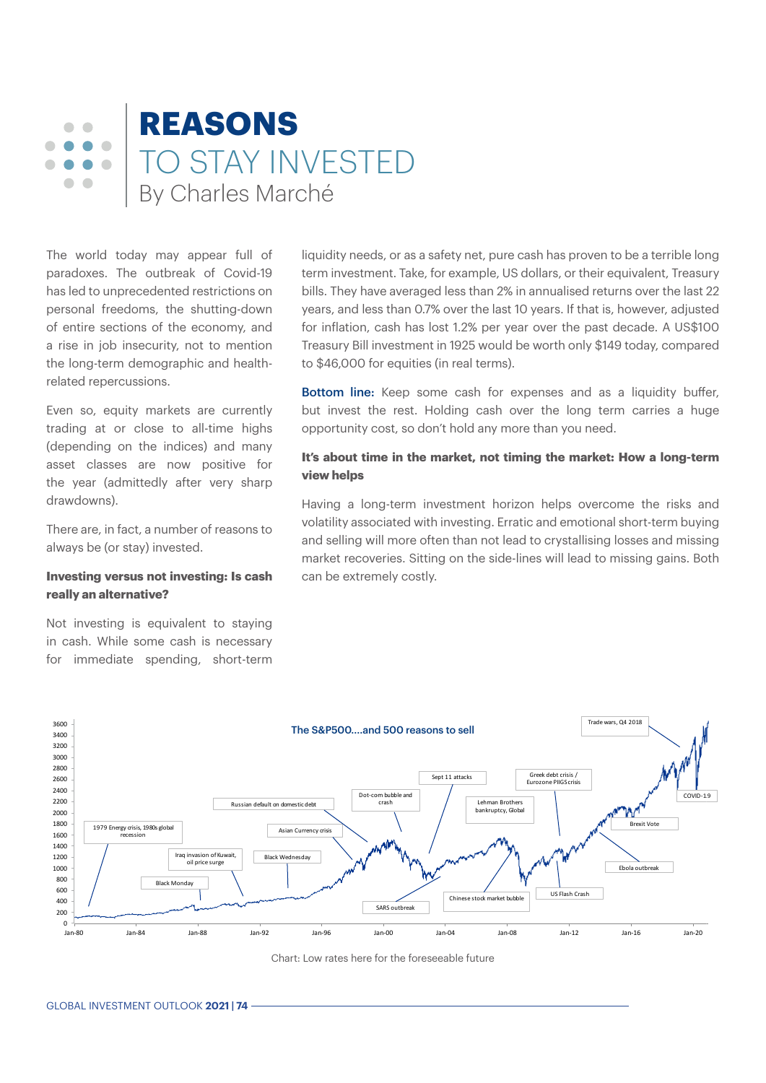#### **REASONS**  $\sqrt{2}$  $\triangle$  $\bullet$  $\blacksquare$ TO STAY INVESTED  $\bullet$  $\bullet$  $\sqrt{2}$  $\bigcirc$ By Charles Marché

The world today may appear full of paradoxes. The outbreak of Covid-19 has led to unprecedented restrictions on personal freedoms, the shutting-down of entire sections of the economy, and a rise in job insecurity, not to mention the long-term demographic and healthrelated repercussions.

Even so, equity markets are currently trading at or close to all-time highs (depending on the indices) and many asset classes are now positive for the year (admittedly after very sharp drawdowns).

There are, in fact, a number of reasons to always be (or stay) invested.

#### **Investing versus not investing: Is cash really an alternative?**

Not investing is equivalent to staying in cash. While some cash is necessary for immediate spending, short-term liquidity needs, or as a safety net, pure cash has proven to be a terrible long term investment. Take, for example, US dollars, or their equivalent, Treasury bills. They have averaged less than 2% in annualised returns over the last 22 years, and less than 0.7% over the last 10 years. If that is, however, adjusted for inflation, cash has lost 1.2% per year over the past decade. A US\$100 Treasury Bill investment in 1925 would be worth only \$149 today, compared to \$46,000 for equities (in real terms).

**Bottom line:** Keep some cash for expenses and as a liquidity buffer, but invest the rest. Holding cash over the long term carries a huge opportunity cost, so don't hold any more than you need.

# **It's about time in the market, not timing the market: How a long-term view helps**

Having a long-term investment horizon helps overcome the risks and volatility associated with investing. Erratic and emotional short-term buying and selling will more often than not lead to crystallising losses and missing market recoveries. Sitting on the side-lines will lead to missing gains. Both can be extremely costly.



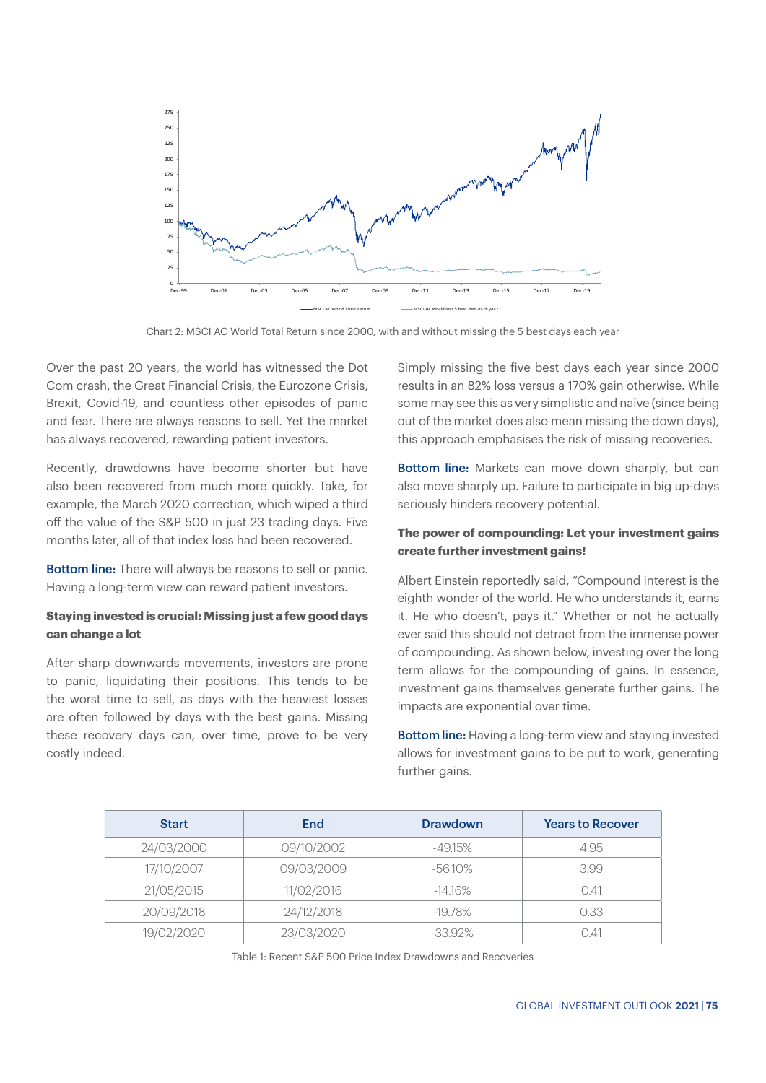

Chart 2: MSCI AC World Total Return since 2000, with and without missing the 5 best days each year

Over the past 20 years, the world has witnessed the Dot Com crash, the Great Financial Crisis, the Eurozone Crisis, Brexit, Covid-19, and countless other episodes of panic and fear. There are always reasons to sell. Yet the market has always recovered, rewarding patient investors.

Recently, drawdowns have become shorter but have also been recovered from much more quickly. Take, for example, the March 2020 correction, which wiped a third off the value of the S&P 500 in just 23 trading days. Five months later, all of that index loss had been recovered.

Bottom line: There will always be reasons to sell or panic. Having a long-term view can reward patient investors.

### **Staying invested is crucial: Missing just a few good days can change a lot**

After sharp downwards movements, investors are prone to panic, liquidating their positions. This tends to be the worst time to sell, as days with the heaviest losses are often followed by days with the best gains. Missing these recovery days can, over time, prove to be very costly indeed.

Simply missing the five best days each year since 2000 results in an 82% loss versus a 170% gain otherwise. While some may see this as very simplistic and naïve (since being out of the market does also mean missing the down days), this approach emphasises the risk of missing recoveries.

Bottom line: Markets can move down sharply, but can also move sharply up. Failure to participate in big up-days seriously hinders recovery potential.

#### **The power of compounding: Let your investment gains create further investment gains!**

Albert Einstein reportedly said, "Compound interest is the eighth wonder of the world. He who understands it, earns it. He who doesn't, pays it." Whether or not he actually ever said this should not detract from the immense power of compounding. As shown below, investing over the long term allows for the compounding of gains. In essence, investment gains themselves generate further gains. The impacts are exponential over time.

**Bottom line:** Having a long-term view and staying invested allows for investment gains to be put to work, generating further gains.

| <b>Start</b> | End        | <b>Drawdown</b> | <b>Years to Recover</b> |
|--------------|------------|-----------------|-------------------------|
| 24/03/2000   | 09/10/2002 | -49.15%         | 4.95                    |
| 17/10/2007   | 09/03/2009 | -56.10%         | 3.99                    |
| 21/05/2015   | 11/02/2016 | $-14.16\%$      | 0.41                    |
| 20/09/2018   | 24/12/2018 | -19.78%         | 0.33                    |
| 19/02/2020   | 23/03/2020 | $-33.92\%$      | N 41                    |

Table 1: Recent S&P 500 Price Index Drawdowns and Recoveries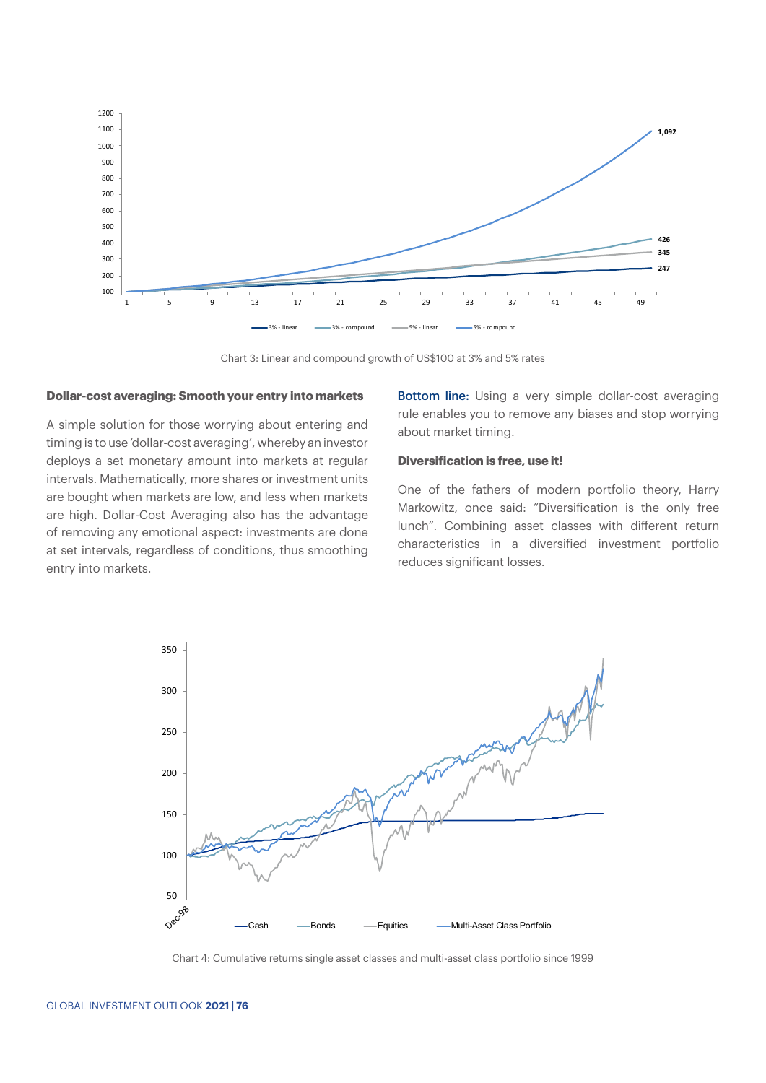

Chart 3: Linear and compound growth of US\$100 at 3% and 5% rates

#### **Dollar-cost averaging: Smooth your entry into markets**

A simple solution for those worrying about entering and timing is to use 'dollar-cost averaging', whereby an investor deploys a set monetary amount into markets at regular intervals. Mathematically, more shares or investment units are bought when markets are low, and less when markets are high. Dollar-Cost Averaging also has the advantage of removing any emotional aspect: investments are done at set intervals, regardless of conditions, thus smoothing entry into markets.

**Bottom line:** Using a very simple dollar-cost averaging rule enables you to remove any biases and stop worrying about market timing.

#### **Diversification is free, use it!**

One of the fathers of modern portfolio theory, Harry Markowitz, once said: "Diversification is the only free lunch". Combining asset classes with different return characteristics in a diversified investment portfolio reduces significant losses.



Chart 4: Cumulative returns single asset classes and multi-asset class portfolio since 1999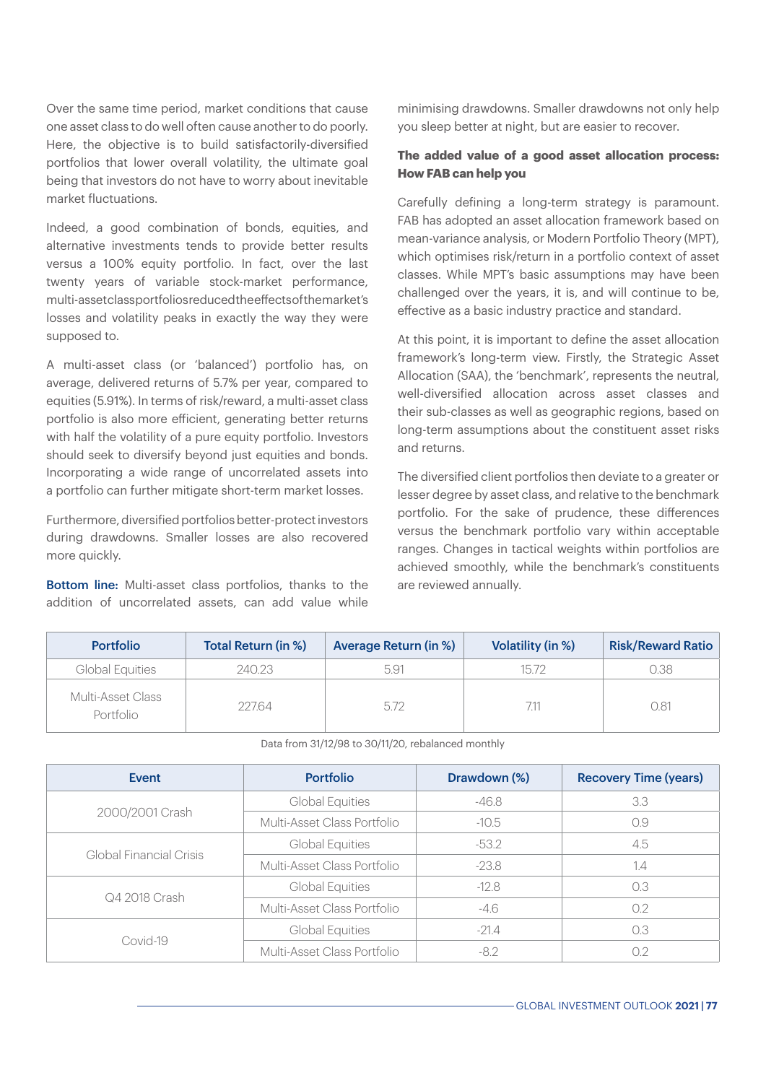Over the same time period, market conditions that cause one asset class to do well often cause another to do poorly. Here, the objective is to build satisfactorily-diversified portfolios that lower overall volatility, the ultimate goal being that investors do not have to worry about inevitable market fluctuations.

Indeed, a good combination of bonds, equities, and alternative investments tends to provide better results versus a 100% equity portfolio. In fact, over the last twenty years of variable stock-market performance, multi-asset class portfolios reduced the effects of the market's losses and volatility peaks in exactly the way they were supposed to.

A multi-asset class (or 'balanced') portfolio has, on average, delivered returns of 5.7% per year, compared to equities (5.91%). In terms of risk/reward, a multi-asset class portfolio is also more efficient, generating better returns with half the volatility of a pure equity portfolio. Investors should seek to diversify beyond just equities and bonds. Incorporating a wide range of uncorrelated assets into a portfolio can further mitigate short-term market losses.

Furthermore, diversified portfolios better-protect investors during drawdowns. Smaller losses are also recovered more quickly.

**Bottom line:** Multi-asset class portfolios, thanks to the addition of uncorrelated assets, can add value while minimising drawdowns. Smaller drawdowns not only help you sleep better at night, but are easier to recover.

## **The added value of a good asset allocation process: How FAB can help you**

Carefully defining a long-term strategy is paramount. FAB has adopted an asset allocation framework based on mean-variance analysis, or Modern Portfolio Theory (MPT), which optimises risk/return in a portfolio context of asset classes. While MPT's basic assumptions may have been challenged over the years, it is, and will continue to be, effective as a basic industry practice and standard.

At this point, it is important to define the asset allocation framework's long-term view. Firstly, the Strategic Asset Allocation (SAA), the 'benchmark', represents the neutral, well-diversified allocation across asset classes and their sub-classes as well as geographic regions, based on long-term assumptions about the constituent asset risks and returns.

The diversified client portfolios then deviate to a greater or lesser degree by asset class, and relative to the benchmark portfolio. For the sake of prudence, these differences versus the benchmark portfolio vary within acceptable ranges. Changes in tactical weights within portfolios are achieved smoothly, while the benchmark's constituents are reviewed annually.

| <b>Portfolio</b>               | <b>Total Return (in %)</b> | <b>Average Return (in %)</b> | Volatility (in %) | <b>Risk/Reward Ratio</b> |
|--------------------------------|----------------------------|------------------------------|-------------------|--------------------------|
| Global Equities                | 240.23                     | 5.91                         | 15.72             | 0.38                     |
| Multi-Asset Class<br>Portfolio | 227.64                     | 5.72                         | 7.11              | 0.81                     |

Data from 31/12/98 to 30/11/20, rebalanced monthly

| Event                   | <b>Portfolio</b>            | Drawdown (%) | <b>Recovery Time (years)</b> |
|-------------------------|-----------------------------|--------------|------------------------------|
|                         | Global Equities             | -46.8        | 3.3                          |
| 2000/2001 Crash         | Multi-Asset Class Portfolio | $-10.5$      | 0.9                          |
|                         | Global Equities             | $-53.2$      | 4.5                          |
| Global Financial Crisis | Multi-Asset Class Portfolio | $-23.8$      | 1.4                          |
|                         | Global Equities             | $-12.8$      | 0.3                          |
| Q4 2018 Crash           | Multi-Asset Class Portfolio | $-4.6$       | 0.2                          |
| Covid-19                | Global Equities             | $-21.4$      | 0.3                          |
|                         | Multi-Asset Class Portfolio | $-8.2$       | 0.2                          |